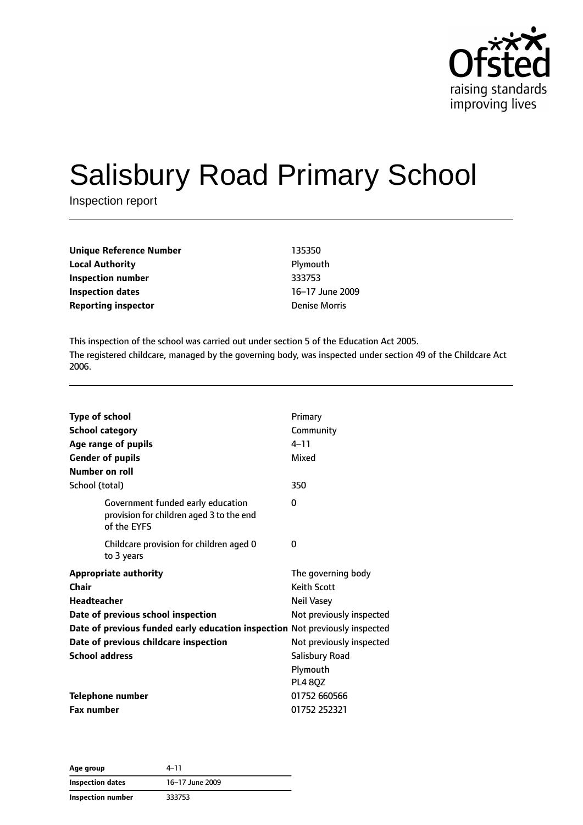

# Salisbury Road Primary School

Inspection report

| Unique Reference Number    | 135350               |
|----------------------------|----------------------|
| Local Authority            | Plymouth             |
| Inspection number          | 333753               |
| Inspection dates           | 16-17 June 2009      |
| <b>Reporting inspector</b> | <b>Denise Morris</b> |
|                            |                      |

This inspection of the school was carried out under section 5 of the Education Act 2005. The registered childcare, managed by the governing body, was inspected under section 49 of the Childcare Act 2006.

| <b>Type of school</b><br><b>School category</b><br>Age range of pupils                       | Primary<br>Community<br>$4 - 11$         |
|----------------------------------------------------------------------------------------------|------------------------------------------|
| <b>Gender of pupils</b><br>Number on roll                                                    | Mixed                                    |
| School (total)                                                                               | 350                                      |
| Government funded early education<br>provision for children aged 3 to the end<br>of the EYFS | 0                                        |
| Childcare provision for children aged 0<br>to 3 years                                        | 0                                        |
| <b>Appropriate authority</b><br>Chair                                                        | The governing body<br><b>Keith Scott</b> |
| <b>Headteacher</b>                                                                           | Neil Vasey                               |
| Date of previous school inspection                                                           | Not previously inspected                 |
| Date of previous funded early education inspection Not previously inspected                  |                                          |
| Date of previous childcare inspection                                                        | Not previously inspected                 |
| <b>School address</b>                                                                        | <b>Salisbury Road</b>                    |
|                                                                                              | Plymouth                                 |
|                                                                                              | <b>PL4 80Z</b>                           |
| <b>Telephone number</b>                                                                      | 01752 660566                             |
| <b>Fax number</b>                                                                            | 01752 252321                             |

**Age group** 4–11 **Inspection dates** 16–17 June 2009 **Inspection number** 333753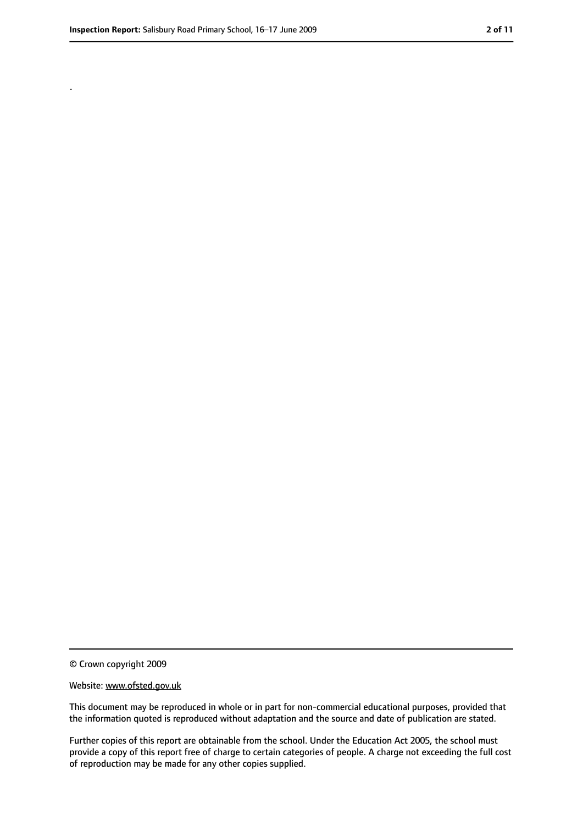.

<sup>©</sup> Crown copyright 2009

Website: www.ofsted.gov.uk

This document may be reproduced in whole or in part for non-commercial educational purposes, provided that the information quoted is reproduced without adaptation and the source and date of publication are stated.

Further copies of this report are obtainable from the school. Under the Education Act 2005, the school must provide a copy of this report free of charge to certain categories of people. A charge not exceeding the full cost of reproduction may be made for any other copies supplied.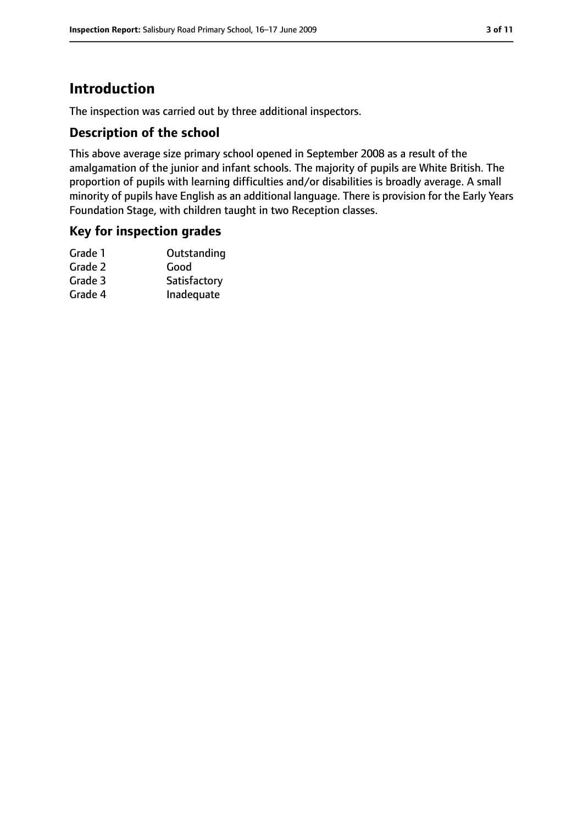# **Introduction**

The inspection was carried out by three additional inspectors.

#### **Description of the school**

This above average size primary school opened in September 2008 as a result of the amalgamation of the junior and infant schools. The majority of pupils are White British. The proportion of pupils with learning difficulties and/or disabilities is broadly average. A small minority of pupils have English as an additional language. There is provision for the Early Years Foundation Stage, with children taught in two Reception classes.

#### **Key for inspection grades**

| Grade 1 | Outstanding  |
|---------|--------------|
| Grade 2 | Good         |
| Grade 3 | Satisfactory |
| Grade 4 | Inadequate   |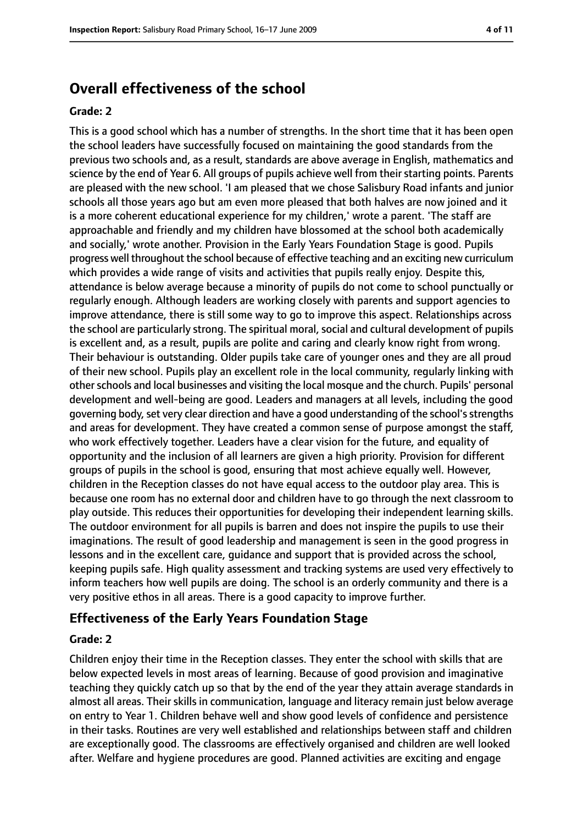# **Overall effectiveness of the school**

#### **Grade: 2**

This is a good school which has a number of strengths. In the short time that it has been open the school leaders have successfully focused on maintaining the good standards from the previous two schools and, as a result, standards are above average in English, mathematics and science by the end of Year 6. All groups of pupils achieve well from their starting points. Parents are pleased with the new school. 'I am pleased that we chose Salisbury Road infants and junior schools all those years ago but am even more pleased that both halves are now joined and it is a more coherent educational experience for my children,' wrote a parent. 'The staff are approachable and friendly and my children have blossomed at the school both academically and socially,' wrote another. Provision in the Early Years Foundation Stage is good. Pupils progress well throughout the school because of effective teaching and an exciting new curriculum which provides a wide range of visits and activities that pupils really enjoy. Despite this, attendance is below average because a minority of pupils do not come to school punctually or regularly enough. Although leaders are working closely with parents and support agencies to improve attendance, there is still some way to go to improve this aspect. Relationships across the school are particularly strong. The spiritual moral, social and cultural development of pupils is excellent and, as a result, pupils are polite and caring and clearly know right from wrong. Their behaviour is outstanding. Older pupils take care of younger ones and they are all proud of their new school. Pupils play an excellent role in the local community, regularly linking with other schools and local businesses and visiting the local mosque and the church. Pupils' personal development and well-being are good. Leaders and managers at all levels, including the good governing body, set very clear direction and have a good understanding of the school's strengths and areas for development. They have created a common sense of purpose amongst the staff, who work effectively together. Leaders have a clear vision for the future, and equality of opportunity and the inclusion of all learners are given a high priority. Provision for different groups of pupils in the school is good, ensuring that most achieve equally well. However, children in the Reception classes do not have equal access to the outdoor play area. This is because one room has no external door and children have to go through the next classroom to play outside. This reduces their opportunities for developing their independent learning skills. The outdoor environment for all pupils is barren and does not inspire the pupils to use their imaginations. The result of good leadership and management is seen in the good progress in lessons and in the excellent care, guidance and support that is provided across the school, keeping pupils safe. High quality assessment and tracking systems are used very effectively to inform teachers how well pupils are doing. The school is an orderly community and there is a very positive ethos in all areas. There is a good capacity to improve further.

#### **Effectiveness of the Early Years Foundation Stage**

#### **Grade: 2**

Children enjoy their time in the Reception classes. They enter the school with skills that are below expected levels in most areas of learning. Because of good provision and imaginative teaching they quickly catch up so that by the end of the year they attain average standards in almost all areas. Their skills in communication, language and literacy remain just below average on entry to Year 1. Children behave well and show good levels of confidence and persistence in their tasks. Routines are very well established and relationships between staff and children are exceptionally good. The classrooms are effectively organised and children are well looked after. Welfare and hygiene procedures are good. Planned activities are exciting and engage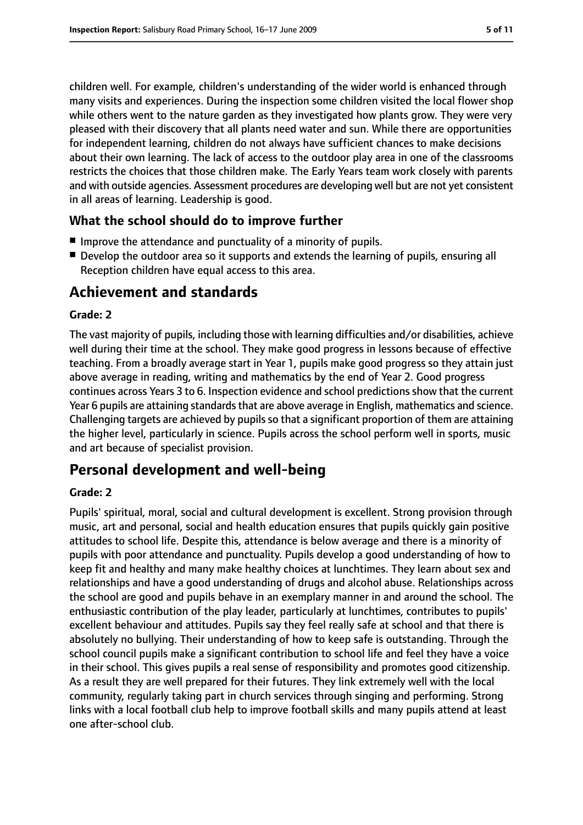children well. For example, children's understanding of the wider world is enhanced through many visits and experiences. During the inspection some children visited the local flower shop while others went to the nature garden as they investigated how plants grow. They were very pleased with their discovery that all plants need water and sun. While there are opportunities for independent learning, children do not always have sufficient chances to make decisions about their own learning. The lack of access to the outdoor play area in one of the classrooms restricts the choices that those children make. The Early Years team work closely with parents and with outside agencies. Assessment procedures are developing well but are not yet consistent in all areas of learning. Leadership is good.

#### **What the school should do to improve further**

- Improve the attendance and punctuality of a minority of pupils.
- Develop the outdoor area so it supports and extends the learning of pupils, ensuring all Reception children have equal access to this area.

# **Achievement and standards**

#### **Grade: 2**

The vast majority of pupils, including those with learning difficulties and/or disabilities, achieve well during their time at the school. They make good progress in lessons because of effective teaching. From a broadly average start in Year 1, pupils make good progress so they attain just above average in reading, writing and mathematics by the end of Year 2. Good progress continues across Years 3 to 6. Inspection evidence and school predictions show that the current Year 6 pupils are attaining standards that are above average in English, mathematics and science. Challenging targets are achieved by pupils so that a significant proportion of them are attaining the higher level, particularly in science. Pupils across the school perform well in sports, music and art because of specialist provision.

# **Personal development and well-being**

#### **Grade: 2**

Pupils' spiritual, moral, social and cultural development is excellent. Strong provision through music, art and personal, social and health education ensures that pupils quickly gain positive attitudes to school life. Despite this, attendance is below average and there is a minority of pupils with poor attendance and punctuality. Pupils develop a good understanding of how to keep fit and healthy and many make healthy choices at lunchtimes. They learn about sex and relationships and have a good understanding of drugs and alcohol abuse. Relationships across the school are good and pupils behave in an exemplary manner in and around the school. The enthusiastic contribution of the play leader, particularly at lunchtimes, contributes to pupils' excellent behaviour and attitudes. Pupils say they feel really safe at school and that there is absolutely no bullying. Their understanding of how to keep safe is outstanding. Through the school council pupils make a significant contribution to school life and feel they have a voice in their school. This gives pupils a real sense of responsibility and promotes good citizenship. As a result they are well prepared for their futures. They link extremely well with the local community, regularly taking part in church services through singing and performing. Strong links with a local football club help to improve football skills and many pupils attend at least one after-school club.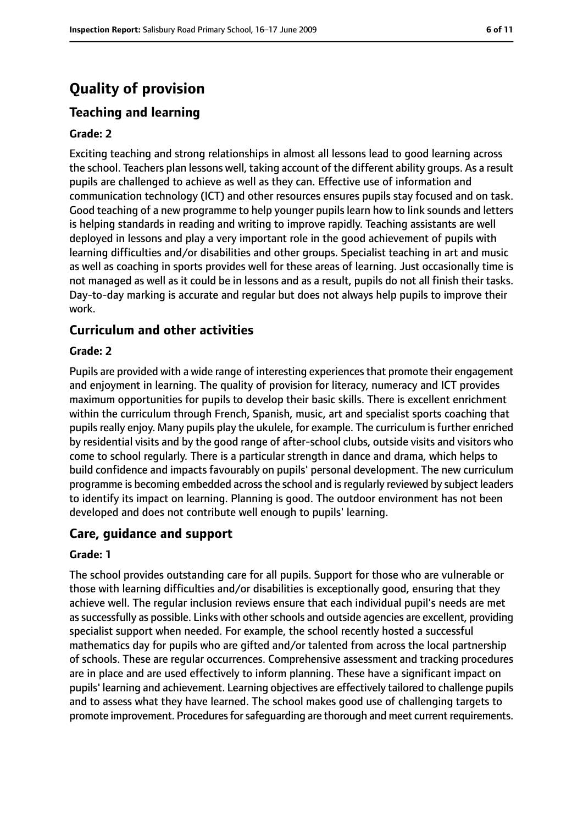# **Quality of provision**

# **Teaching and learning**

#### **Grade: 2**

Exciting teaching and strong relationships in almost all lessons lead to good learning across the school. Teachers plan lessons well, taking account of the different ability groups. As a result pupils are challenged to achieve as well as they can. Effective use of information and communication technology (ICT) and other resources ensures pupils stay focused and on task. Good teaching of a new programme to help younger pupils learn how to link sounds and letters is helping standards in reading and writing to improve rapidly. Teaching assistants are well deployed in lessons and play a very important role in the good achievement of pupils with learning difficulties and/or disabilities and other groups. Specialist teaching in art and music as well as coaching in sports provides well for these areas of learning. Just occasionally time is not managed as well as it could be in lessons and as a result, pupils do not all finish their tasks. Day-to-day marking is accurate and regular but does not always help pupils to improve their work.

#### **Curriculum and other activities**

#### **Grade: 2**

Pupils are provided with a wide range of interesting experiences that promote their engagement and enjoyment in learning. The quality of provision for literacy, numeracy and ICT provides maximum opportunities for pupils to develop their basic skills. There is excellent enrichment within the curriculum through French, Spanish, music, art and specialist sports coaching that pupils really enjoy. Many pupils play the ukulele, for example. The curriculum is further enriched by residential visits and by the good range of after-school clubs, outside visits and visitors who come to school regularly. There is a particular strength in dance and drama, which helps to build confidence and impacts favourably on pupils' personal development. The new curriculum programme is becoming embedded across the school and is regularly reviewed by subject leaders to identify its impact on learning. Planning is good. The outdoor environment has not been developed and does not contribute well enough to pupils' learning.

#### **Care, guidance and support**

#### **Grade: 1**

The school provides outstanding care for all pupils. Support for those who are vulnerable or those with learning difficulties and/or disabilities is exceptionally good, ensuring that they achieve well. The regular inclusion reviews ensure that each individual pupil's needs are met as successfully as possible. Links with other schools and outside agencies are excellent, providing specialist support when needed. For example, the school recently hosted a successful mathematics day for pupils who are gifted and/or talented from across the local partnership of schools. These are regular occurrences. Comprehensive assessment and tracking procedures are in place and are used effectively to inform planning. These have a significant impact on pupils' learning and achievement. Learning objectives are effectively tailored to challenge pupils and to assess what they have learned. The school makes good use of challenging targets to promote improvement. Procedures for safeguarding are thorough and meet current requirements.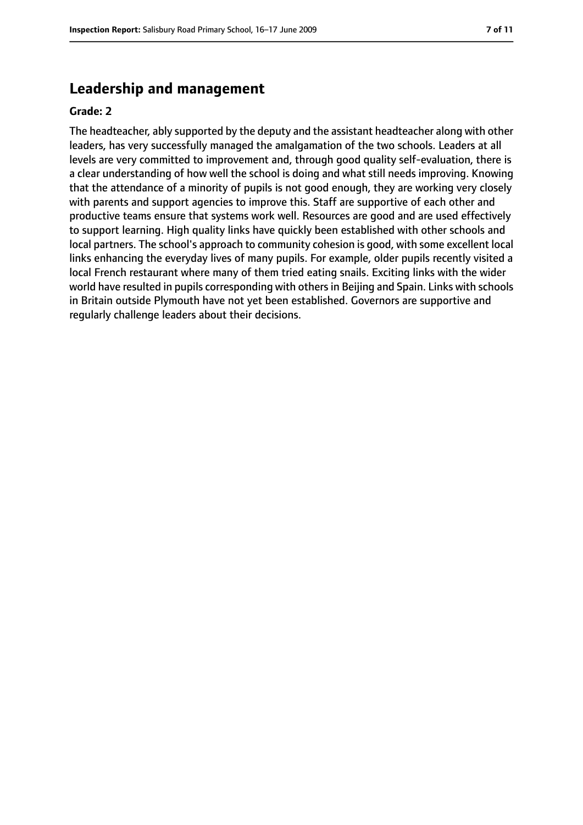## **Leadership and management**

#### **Grade: 2**

The headteacher, ably supported by the deputy and the assistant headteacher along with other leaders, has very successfully managed the amalgamation of the two schools. Leaders at all levels are very committed to improvement and, through good quality self-evaluation, there is a clear understanding of how well the school is doing and what still needs improving. Knowing that the attendance of a minority of pupils is not good enough, they are working very closely with parents and support agencies to improve this. Staff are supportive of each other and productive teams ensure that systems work well. Resources are good and are used effectively to support learning. High quality links have quickly been established with other schools and local partners. The school's approach to community cohesion is good, with some excellent local links enhancing the everyday lives of many pupils. For example, older pupils recently visited a local French restaurant where many of them tried eating snails. Exciting links with the wider world have resulted in pupils corresponding with others in Beijing and Spain. Links with schools in Britain outside Plymouth have not yet been established. Governors are supportive and regularly challenge leaders about their decisions.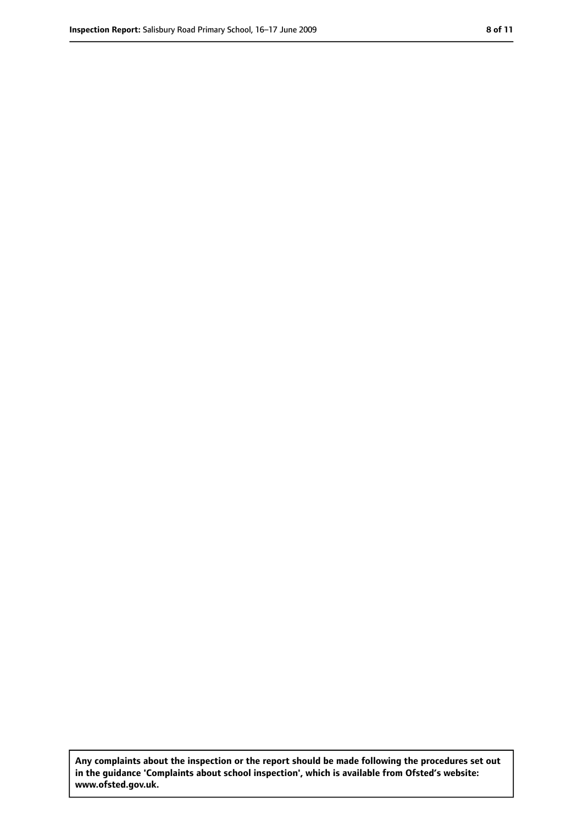**Any complaints about the inspection or the report should be made following the procedures set out in the guidance 'Complaints about school inspection', which is available from Ofsted's website: www.ofsted.gov.uk.**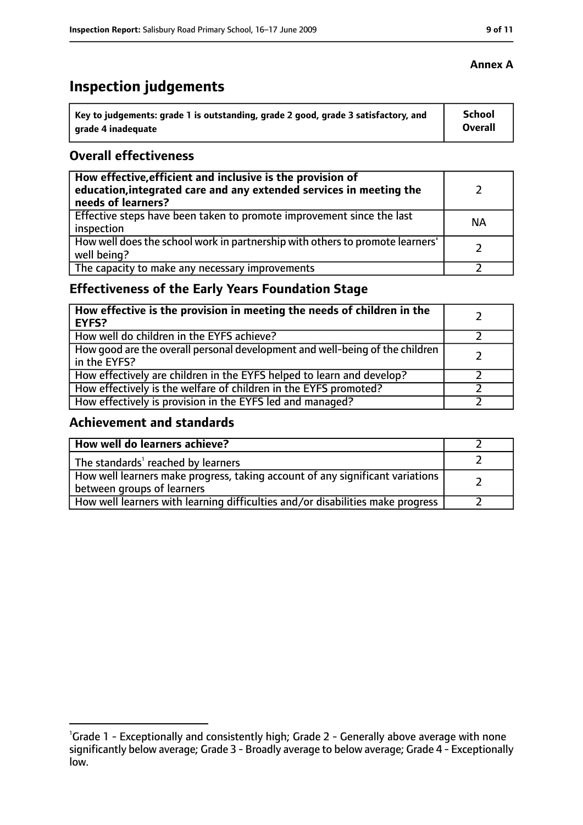# **Inspection judgements**

| Key to judgements: grade 1 is outstanding, grade 2 good, grade 3 satisfactory, and | <b>School</b>  |
|------------------------------------------------------------------------------------|----------------|
| arade 4 inadequate                                                                 | <b>Overall</b> |

### **Overall effectiveness**

| How effective, efficient and inclusive is the provision of<br>education, integrated care and any extended services in meeting the<br>needs of learners? |           |
|---------------------------------------------------------------------------------------------------------------------------------------------------------|-----------|
| Effective steps have been taken to promote improvement since the last<br>inspection                                                                     | <b>NA</b> |
| How well does the school work in partnership with others to promote learners'<br>well being?                                                            |           |
| The capacity to make any necessary improvements                                                                                                         |           |

# **Effectiveness of the Early Years Foundation Stage**

| How effective is the provision in meeting the needs of children in the<br><b>EYFS?</b>       |  |
|----------------------------------------------------------------------------------------------|--|
| How well do children in the EYFS achieve?                                                    |  |
| How good are the overall personal development and well-being of the children<br>in the EYFS? |  |
| How effectively are children in the EYFS helped to learn and develop?                        |  |
| How effectively is the welfare of children in the EYFS promoted?                             |  |
| How effectively is provision in the EYFS led and managed?                                    |  |

## **Achievement and standards**

| How well do learners achieve?                                                                               |  |
|-------------------------------------------------------------------------------------------------------------|--|
| The standards <sup>1</sup> reached by learners                                                              |  |
| How well learners make progress, taking account of any significant variations<br>between groups of learners |  |
| How well learners with learning difficulties and/or disabilities make progress                              |  |

<sup>&</sup>lt;sup>1</sup>Grade 1 - Exceptionally and consistently high; Grade 2 - Generally above average with none significantly below average; Grade 3 - Broadly average to below average; Grade 4 - Exceptionally low.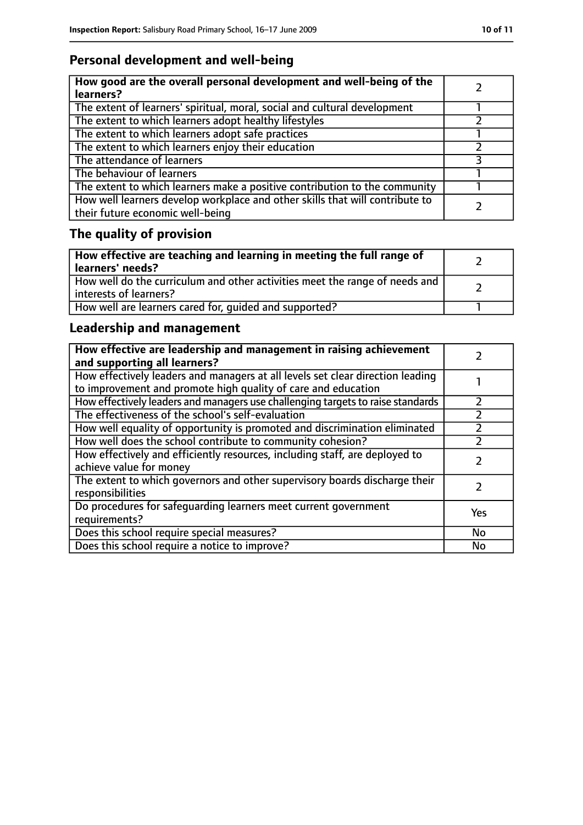# **Personal development and well-being**

| How good are the overall personal development and well-being of the<br>learners?                                 |  |
|------------------------------------------------------------------------------------------------------------------|--|
| The extent of learners' spiritual, moral, social and cultural development                                        |  |
| The extent to which learners adopt healthy lifestyles                                                            |  |
| The extent to which learners adopt safe practices                                                                |  |
| The extent to which learners enjoy their education                                                               |  |
| The attendance of learners                                                                                       |  |
| The behaviour of learners                                                                                        |  |
| The extent to which learners make a positive contribution to the community                                       |  |
| How well learners develop workplace and other skills that will contribute to<br>their future economic well-being |  |

# **The quality of provision**

| How effective are teaching and learning in meeting the full range of<br>learners' needs?              |  |
|-------------------------------------------------------------------------------------------------------|--|
| How well do the curriculum and other activities meet the range of needs and<br>interests of learners? |  |
| How well are learners cared for, quided and supported?                                                |  |

# **Leadership and management**

| How effective are leadership and management in raising achievement<br>and supporting all learners?                                              |     |
|-------------------------------------------------------------------------------------------------------------------------------------------------|-----|
| How effectively leaders and managers at all levels set clear direction leading<br>to improvement and promote high quality of care and education |     |
| How effectively leaders and managers use challenging targets to raise standards                                                                 |     |
| The effectiveness of the school's self-evaluation                                                                                               |     |
| How well equality of opportunity is promoted and discrimination eliminated                                                                      |     |
| How well does the school contribute to community cohesion?                                                                                      |     |
| How effectively and efficiently resources, including staff, are deployed to<br>achieve value for money                                          |     |
| The extent to which governors and other supervisory boards discharge their<br>responsibilities                                                  |     |
| Do procedures for safequarding learners meet current government<br>requirements?                                                                | Yes |
| Does this school require special measures?                                                                                                      | No  |
| Does this school require a notice to improve?                                                                                                   | No  |